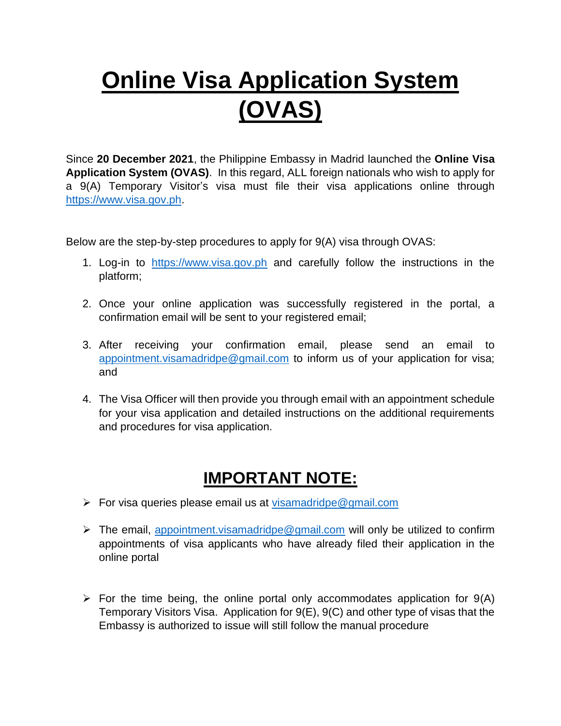## **Online Visa Application System (OVAS)**

Since **20 December 2021**, the Philippine Embassy in Madrid launched the **Online Visa Application System (OVAS)**. In this regard, ALL foreign nationals who wish to apply for a 9(A) Temporary Visitor's visa must file their visa applications online through [https://www.visa.gov.ph.](https://www.visa.gov.ph/)

Below are the step-by-step procedures to apply for 9(A) visa through OVAS:

- 1. Log-in to [https://www.visa.gov.ph](https://www.visa.gov.ph/) and carefully follow the instructions in the platform;
- 2. Once your online application was successfully registered in the portal, a confirmation email will be sent to your registered email;
- 3. After receiving your confirmation email, please send an email to [appointment.visamadridpe@gmail.com](mailto:appointment.visamadridpe@gmail.com) to inform us of your application for visa; and
- 4. The Visa Officer will then provide you through email with an appointment schedule for your visa application and detailed instructions on the additional requirements and procedures for visa application.

## **IMPORTANT NOTE:**

- $\triangleright$  For visa queries please email us at visamadridpe @gmail.com
- ➢ The email, [appointment.visamadridpe@gmail.com](mailto:appointment.visamadridpe@gmail.com) will only be utilized to confirm appointments of visa applicants who have already filed their application in the online portal
- $\triangleright$  For the time being, the online portal only accommodates application for  $9(A)$ Temporary Visitors Visa. Application for 9(E), 9(C) and other type of visas that the Embassy is authorized to issue will still follow the manual procedure